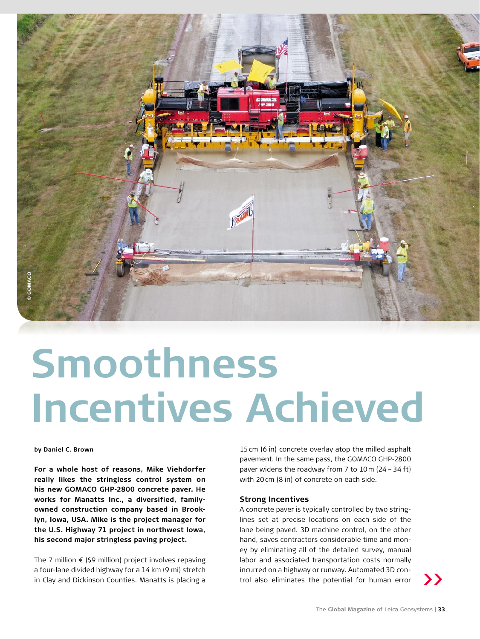

# **Smoothness Incentives Achieved**

## **by Daniel C. Brown**

**For a whole host of reasons, Mike Viehdorfer really likes the stringless control system on his new GOMACO GHP-2800 concrete paver. He works for Manatts Inc., a diversified, familyowned construction company based in Brooklyn, Iowa, USA. Mike is the project manager for the U.S. Highway 71 project in northwest Iowa, his second major stringless paving project.** 

The 7 million  $\epsilon$  (\$9 million) project involves repaving a four-lane divided highway for a 14 km (9 mi) stretch in Clay and Dickinson Counties. Manatts is placing a

15cm (6 in) concrete overlay atop the milled asphalt pavement. In the same pass, the GOMACO GHP-2800 paver widens the roadway from 7 to 10m (24 –34 ft) with 20cm (8 in) of concrete on each side.

#### **Strong Incentives**

A concrete paver is typically controlled by two stringlines set at precise locations on each side of the lane being paved. 3D machine control, on the other hand, saves contractors considerable time and money by eliminating all of the detailed survey, manual labor and associated transportation costs normally incurred on a highway or runway. Automated 3D control also eliminates the potential for human error

**>>**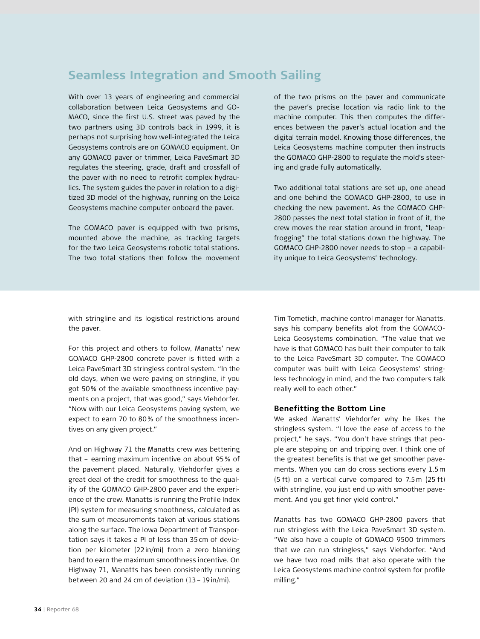# **Seamless Integration and Smooth Sailing**

With over 13 years of engineering and commercial collaboration between Leica Geosystems and GO-MACO, since the first U.S. street was paved by the two partners using 3D controls back in 1999, it is perhaps not surprising how well-integrated the Leica Geosystems controls are on GOMACO equipment. On any GOMACO paver or trimmer, Leica PaveSmart 3D regulates the steering, grade, draft and crossfall of the paver with no need to retrofit complex hydraulics. The system guides the paver in relation to a digitized 3D model of the highway, running on the Leica Geosystems machine computer onboard the paver.

The GOMACO paver is equipped with two prisms, mounted above the machine, as tracking targets for the two Leica Geosystems robotic total stations. The two total stations then follow the movement

of the two prisms on the paver and communicate the paver's precise location via radio link to the machine computer. This then computes the differences between the paver's actual location and the digital terrain model. Knowing those differences, the Leica Geosystems machine computer then instructs the GOMACO GHP-2800 to regulate the mold's steering and grade fully automatically.

Two additional total stations are set up, one ahead and one behind the GOMACO GHP-2800, to use in checking the new pavement. As the GOMACO GHP-2800 passes the next total station in front of it, the crew moves the rear station around in front, "leapfrogging" the total stations down the highway. The GOMACO GHP-2800 never needs to stop – a capability unique to Leica Geosystems' technology.

with stringline and its logistical restrictions around the paver.

For this project and others to follow, Manatts' new GOMACO GHP-2800 concrete paver is fitted with a Leica PaveSmart 3D stringless control system. "In the old days, when we were paving on stringline, if you got 50% of the available smoothness incentive payments on a project, that was good," says Viehdorfer. "Now with our Leica Geosystems paving system, we expect to earn 70 to 80% of the smoothness incentives on any given project."

And on Highway 71 the Manatts crew was bettering that – earning maximum incentive on about 95% of the pavement placed. Naturally, Viehdorfer gives a great deal of the credit for smoothness to the quality of the GOMACO GHP-2800 paver and the experience of the crew. Manatts is running the Profile Index (PI) system for measuring smoothness, calculated as the sum of measurements taken at various stations along the surface. The Iowa Department of Transportation says it takes a PI of less than 35cm of deviation per kilometer (22in/mi) from a zero blanking band to earn the maximum smoothness incentive. On Highway 71, Manatts has been consistently running between 20 and 24 cm of deviation (13–19in/mi).

Tim Tometich, machine control manager for Manatts, says his company benefits alot from the GOMACO-Leica Geosystems combination. "The value that we have is that GOMACO has built their computer to talk to the Leica PaveSmart 3D computer. The GOMACO computer was built with Leica Geosystems' stringless technology in mind, and the two computers talk really well to each other."

## **Benefitting the Bottom Line**

We asked Manatts' Viehdorfer why he likes the stringless system. "I love the ease of access to the project," he says. "You don't have strings that people are stepping on and tripping over. I think one of the greatest benefits is that we get smoother pavements. When you can do cross sections every 1.5m (5 ft) on a vertical curve compared to 7.5m (25 ft) with stringline, you just end up with smoother pavement. And you get finer yield control."

Manatts has two GOMACO GHP-2800 pavers that run stringless with the Leica PaveSmart 3D system. "We also have a couple of GOMACO 9500 trimmers that we can run stringless," says Viehdorfer. "And we have two road mills that also operate with the Leica Geosystems machine control system for profile milling."